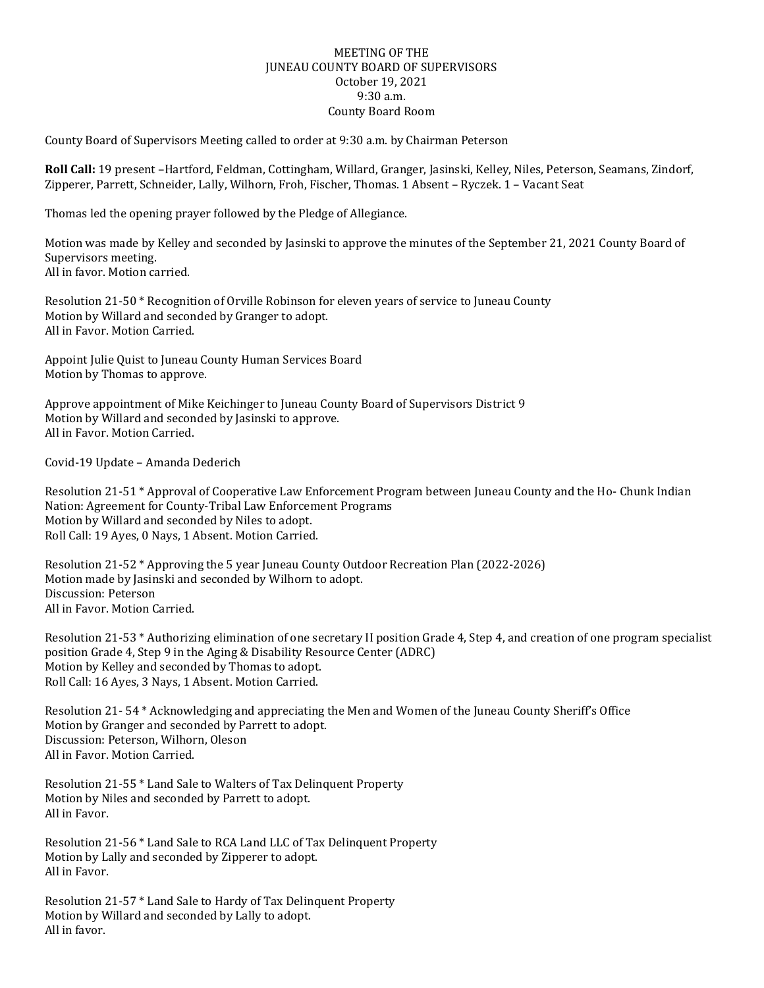## MEETING OF THE JUNEAU COUNTY BOARD OF SUPERVISORS October 19, 2021 9:30 a.m. County Board Room

County Board of Supervisors Meeting called to order at 9:30 a.m. by Chairman Peterson

**Roll Call:** 19 present –Hartford, Feldman, Cottingham, Willard, Granger, Jasinski, Kelley, Niles, Peterson, Seamans, Zindorf, Zipperer, Parrett, Schneider, Lally, Wilhorn, Froh, Fischer, Thomas. 1 Absent – Ryczek. 1 – Vacant Seat

Thomas led the opening prayer followed by the Pledge of Allegiance.

Motion was made by Kelley and seconded by Jasinski to approve the minutes of the September 21, 2021 County Board of Supervisors meeting. All in favor. Motion carried.

Resolution 21-50 \* Recognition of Orville Robinson for eleven years of service to Juneau County Motion by Willard and seconded by Granger to adopt. All in Favor. Motion Carried.

Appoint Julie Quist to Juneau County Human Services Board Motion by Thomas to approve.

Approve appointment of Mike Keichinger to Juneau County Board of Supervisors District 9 Motion by Willard and seconded by Jasinski to approve. All in Favor. Motion Carried.

Covid-19 Update – Amanda Dederich

Resolution 21-51 \* Approval of Cooperative Law Enforcement Program between Juneau County and the Ho- Chunk Indian Nation: Agreement for County-Tribal Law Enforcement Programs Motion by Willard and seconded by Niles to adopt. Roll Call: 19 Ayes, 0 Nays, 1 Absent. Motion Carried.

Resolution 21-52 \* Approving the 5 year Juneau County Outdoor Recreation Plan (2022-2026) Motion made by Jasinski and seconded by Wilhorn to adopt. Discussion: Peterson All in Favor. Motion Carried.

Resolution 21-53 \* Authorizing elimination of one secretary II position Grade 4, Step 4, and creation of one program specialist position Grade 4, Step 9 in the Aging & Disability Resource Center (ADRC) Motion by Kelley and seconded by Thomas to adopt. Roll Call: 16 Ayes, 3 Nays, 1 Absent. Motion Carried.

Resolution 21- 54 \* Acknowledging and appreciating the Men and Women of the Juneau County Sheriff's Office Motion by Granger and seconded by Parrett to adopt. Discussion: Peterson, Wilhorn, Oleson All in Favor. Motion Carried.

Resolution 21-55 \* Land Sale to Walters of Tax Delinquent Property Motion by Niles and seconded by Parrett to adopt. All in Favor.

Resolution 21-56 \* Land Sale to RCA Land LLC of Tax Delinquent Property Motion by Lally and seconded by Zipperer to adopt. All in Favor.

Resolution 21-57 \* Land Sale to Hardy of Tax Delinquent Property Motion by Willard and seconded by Lally to adopt. All in favor.